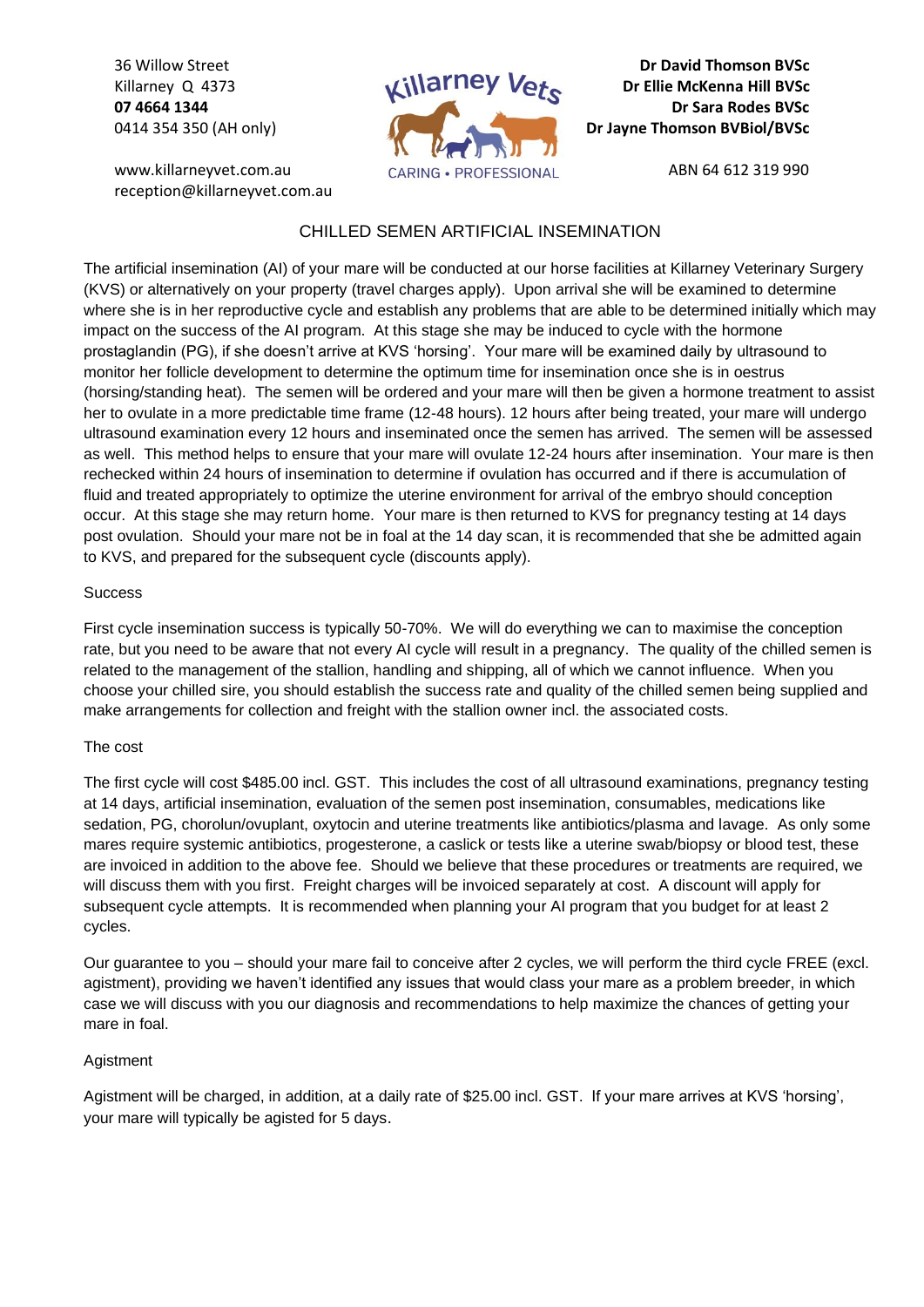36 Willow Street Killarney Q 4373 **07 4664 1344** 0414 354 350 (AH only)

www.killarneyvet.com.au reception@killarneyvet.com.au



**Dr David Thomson BVSc Dr Ellie McKenna Hill BVSc Dr Sara Rodes BVSc Dr Jayne Thomson BVBiol/BVSc**

ABN 64 612 319 990

## CHILLED SEMEN ARTIFICIAL INSEMINATION

The artificial insemination (AI) of your mare will be conducted at our horse facilities at Killarney Veterinary Surgery (KVS) or alternatively on your property (travel charges apply). Upon arrival she will be examined to determine where she is in her reproductive cycle and establish any problems that are able to be determined initially which may impact on the success of the AI program. At this stage she may be induced to cycle with the hormone prostaglandin (PG), if she doesn't arrive at KVS 'horsing'. Your mare will be examined daily by ultrasound to monitor her follicle development to determine the optimum time for insemination once she is in oestrus (horsing/standing heat). The semen will be ordered and your mare will then be given a hormone treatment to assist her to ovulate in a more predictable time frame (12-48 hours). 12 hours after being treated, your mare will undergo ultrasound examination every 12 hours and inseminated once the semen has arrived. The semen will be assessed as well. This method helps to ensure that your mare will ovulate 12-24 hours after insemination. Your mare is then rechecked within 24 hours of insemination to determine if ovulation has occurred and if there is accumulation of fluid and treated appropriately to optimize the uterine environment for arrival of the embryo should conception occur. At this stage she may return home. Your mare is then returned to KVS for pregnancy testing at 14 days post ovulation. Should your mare not be in foal at the 14 day scan, it is recommended that she be admitted again to KVS, and prepared for the subsequent cycle (discounts apply).

## **Success**

First cycle insemination success is typically 50-70%. We will do everything we can to maximise the conception rate, but you need to be aware that not every AI cycle will result in a pregnancy. The quality of the chilled semen is related to the management of the stallion, handling and shipping, all of which we cannot influence. When you choose your chilled sire, you should establish the success rate and quality of the chilled semen being supplied and make arrangements for collection and freight with the stallion owner incl. the associated costs.

## The cost

The first cycle will cost \$485.00 incl. GST. This includes the cost of all ultrasound examinations, pregnancy testing at 14 days, artificial insemination, evaluation of the semen post insemination, consumables, medications like sedation, PG, chorolun/ovuplant, oxytocin and uterine treatments like antibiotics/plasma and lavage. As only some mares require systemic antibiotics, progesterone, a caslick or tests like a uterine swab/biopsy or blood test, these are invoiced in addition to the above fee. Should we believe that these procedures or treatments are required, we will discuss them with you first. Freight charges will be invoiced separately at cost. A discount will apply for subsequent cycle attempts. It is recommended when planning your AI program that you budget for at least 2 cycles.

Our guarantee to you – should your mare fail to conceive after 2 cycles, we will perform the third cycle FREE (excl. agistment), providing we haven't identified any issues that would class your mare as a problem breeder, in which case we will discuss with you our diagnosis and recommendations to help maximize the chances of getting your mare in foal.

## Agistment

Agistment will be charged, in addition, at a daily rate of \$25.00 incl. GST. If your mare arrives at KVS 'horsing', your mare will typically be agisted for 5 days.